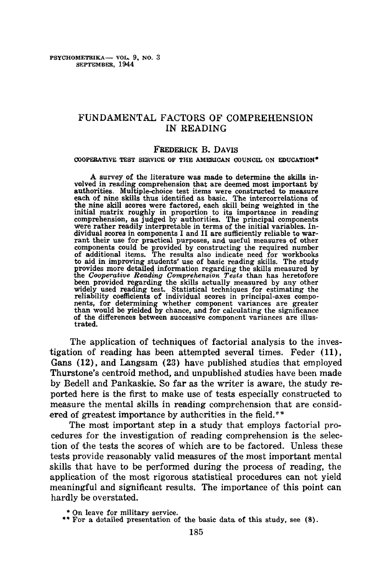# FUNDAMENTAL FACTORS OF COMPREHENSION IN READING

## FREDERICK B. DAVIS

#### COOPERATIVE TEST SERVICE OF THE AMERICAN COUNCIL ON EDUCATION\*

A survey of the literature was made to determine the skills involved in reading comprehension that are deemed most important by authorities. Multiple-choice test items were constructed to measure each of nine skills thus identified as basic. The intercorrelations of the nine skill scores were factored, each skill being weighted in the initial matrix roughly in proportion to its importance in reading comprehension, as judged by authorities. The principal components were rather readily interpretable in terms of the initial variables. In-dividual scores in components I and II are sufficiently reliable to warrant their use for practical purposes, and useful measures of other components could be provided by constructing the required number of additional items. The results also indicate need for workbooks to aid in improving students' use of basic reading skills. The study provides more detailed information regarding the skills measured by the *Cooperative Reading Comprehension Tests* than has heretofore been provided regarding the skills actually measured by any other widely used reading test. Statistical techniques for estimating the reliability coefficients of individual scores in principal-axes components, for determining whether component variances are greater than would be yielded by chance, and for calculating the significance of the differences between successive component variances are illustrated.

The application of techniques of factorial analysis to the investigation of reading has been attempted several times. Feder (11), Gans (12), and Langsam (23) have published studies that employed Thurstone's centroid method, and unpublished studies have been made by Bedell and Pankaskie. So far as the writer is aware, the study reported here is the first to make use of tests especially constructed to measure the mental skills in reading comprehension that are considered of greatest importance by authorities in the field.\*\*

The most important step in a study that employs factorial procedures for the investigation of reading comprehension is the selection of the tests the scores of which are to be factored. Unless these tests provide reasonably valid measures of the most important mental skills that have to be performed during the process of reading, the application of the most rigorous statistical procedures can not yield meaningful and significant results. The importance of this point can hardly be overstated.

\* On leave for military service.

\*\* For a detailed presentation of the basic data of this study, see (8).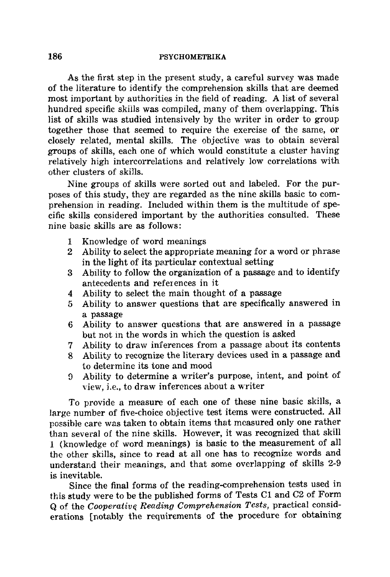As the first step in the present study, a careful survey was made of the literature to identify the comprehension skills that are deemed most important by authorities in the field of reading. A list of several hundred specific skills was compiled, many of them overlapping. This list of skills was studied intensively by the writer in order to group together those that seemed to require the exercise of the same, or closely related, mental skills. The objective was to obtain several groups of skills, each one of which would constitute a cluster having relatively high intercorrelations and relatively low correlations with other clusters of skills.

Nine groups of skills were sorted out and labeled. For the purposes of this study, they are regarded as the nine skills basic to comprehension in reading. Included within them is the multitude of specific skills considered important by the authorities consulted. These nine basic skills are as follows:

- 1 Knowledge of word meanings
- 2 Ability to select the appropriate meaning for a word or phrase in the light of its particular contextual setting
- 3 Ability to follow the organization of a passage and to identify antecedents and references in it
- 4 Ability to select the main thought of a passage
- 5 Ability to answer questions that are specifically answered in a passage
- 6 Ability to answer questions that are answered in a passage but not in the words in which the question is asked
- 7 Ability to draw inferences from a passage about its contents
- 8 Ability to recognize the literary devices used in a passage and to determine its tone and mood
- 9 Ability to determine a writer's purpose, intent, and point of view, i.e., to draw inferences about a writer

To provide a measure of each one of these nine basic skills, a large number of five-choice objective test items were constructed. All possible care was taken to obtain items that measured only one rather than several of the nine skills. However, it was recognized that skill 1 {knowledge ef word meanings) is basic to the measurement of all the other skills, since to read at all one has to recognize words and understand their meanings, and that some overlapping of skills 2-9 is inevitable.

Since the final forms of the reading-comprehension tests used in this study were to be the published forms of Tests C1 and C2 of Form Q of the *Cooperative Reading Comprehension Tests*, practical considerations [notably the requirements of the procedure for obtaining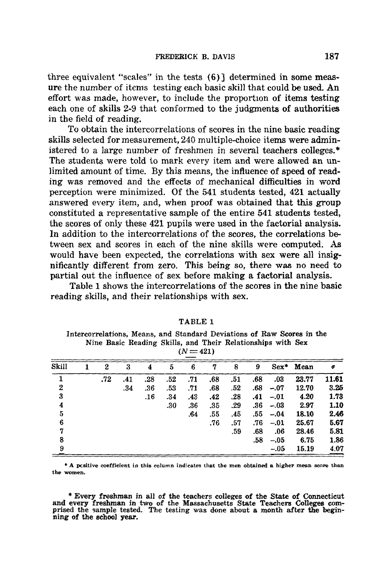three equivalent "scales" in the tests (6)] determined in some measure the number of items testing each basic skill that could be used. An effort was made, however, to include the proportion of items testing each one of skills 2-9 that conformed to the judgments of authorities in the field of reading.

To obtain the intercorrelations of scores in the nine basic reading skills selected for measurement, 240 multiple-choice items were administered to a large number of freshmen in several teachers colleges.\* The students were told to mark every item and were allowed an unlimited amount of time. By this means, the influence of speed of reading was removed and the effects of mechanical difficulties in word perception were minimized. Of the 541 students tested, 421 actually answered every item, and, when proof was obtained that this group constituted a representative sample of the entire 541 students tested, the scores of only these 421 pupils were used in the factorial analysis. In addition to the intercorrelations of the scores, the correlations between sex and scores in each of the nine skills were computed. As would have been expected, the correlations with sex were all insignificantly different from zero. This being so, there was no need to partial out the influence of sex before making a factorial analysis.

Table 1 shows the intercorrelations of the scores in the nine basic reading skills, and their relationships with sex.

|       |     |     |     |     | (78 -- 421) |     |     |     |         |       |            |
|-------|-----|-----|-----|-----|-------------|-----|-----|-----|---------|-------|------------|
| Skill | 2   | 3   | 4   | 5   | 6           | 7   | 8   | 9   | $Sex^*$ | Mean  | σ          |
|       | .72 | .41 | .28 | .52 | .71         | .68 | .51 | .68 | .03     | 23.77 | 11.61      |
| 2     |     | .34 | .36 | .53 | .71         | .68 | .52 | .68 | $-.07$  | 12.70 | 3.25       |
| 3     |     |     | .16 | .34 | .43         | .42 | .28 | .41 | $-.01$  | 4.20  | 1.73       |
| 4     |     |     |     | .30 | .36         | .35 | .29 | .36 | $-.03$  | 2.97  | 1.10       |
| 5     |     |     |     |     | .64         | .55 | .45 | .55 | $-.04$  | 18.10 | 2.46       |
| 6     |     |     |     |     |             | .76 | .57 | .76 | $-.01$  | 25.67 | 5.67       |
| 7     |     |     |     |     |             |     | .59 | .68 | .06     | 28.46 | 5.81       |
| 8     |     |     |     |     |             |     |     | .58 | $-.05$  | 6.75  | 1.86       |
| 9     |     |     |     |     |             |     |     |     | $-.05$  | 15.19 | 4.07<br>__ |

TABLE 1

Intercorrelations, Means, and Standard Deviations of Raw Scores in the Nine Basic Reading Skills, and Their Relationships with Sex  $(37 - 491)$ 

\* A positive coefficient in this column indicates that the men obtained a higher mean score than **the women.** 

\* Every freshman in all of the teachers colleges **of the State of** Connecticut and every freshman in two of the Massachusetts State Teachers Colleges com-prised the sample tested. The testing was done about a month after the beginning **of the school year.**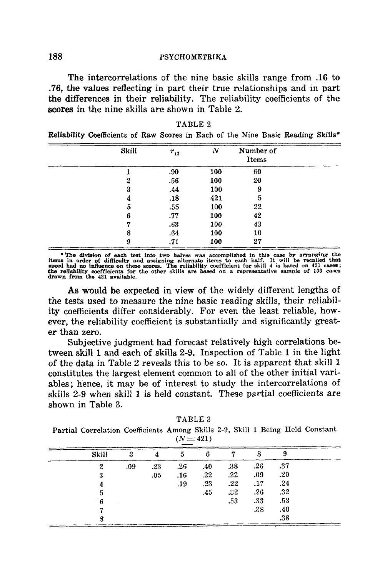The intercorrelations of the nine basic skills range from .16 to .76, the values reflecting in part their true relationships and in part the differences in their reliability. The reliability coefficients of the scores in the nine skills are shown in Table 2.

TABLE 2 Reliability Coefficients of Raw Scores in Each of the Nine Basic Reading Skills\*

| Skill | $r_{1I}$ | Ν   | Number of<br>Items |  |
|-------|----------|-----|--------------------|--|
|       | .90      | 100 | 60                 |  |
| 2     | .56      | 100 | 20                 |  |
| 3     | .44      | 100 | 9                  |  |
| 4     | .18      | 421 | 5                  |  |
| 5     | .55      | 100 | 22                 |  |
| 6     | .77      | 100 | 42                 |  |
| 17    | .63      | 100 | 43                 |  |
| ጻ     | .64      | 100 | 10                 |  |
| 9     | .71      | 100 | 27                 |  |

\* The division of each test into two halves was accomplished in this case by arranging the items in order of difficulty and assigning alternate items to each half. It will be recalled that speed had no influence on these s drawn **from the 421** available.

As would be expected in view of the widely different lengths of the tests used to measure the nine basic reading skills, their reliability coefficients differ considerably. For even the least reliable, however, the reliability coefficient is substantially and sigaificantly greater than zero.

Subjective judgment had forecast relatively high correlations between skill 1 and each of skills 2-9. Inspection of Table 1 in the light of the data in Table 2 reveals this to be so. It is apparent that skill 1 constitutes the largest element common to all of the other initial variables; hence, it may be of interest to study the intercorrelations of skills 2-9 when skill 1 is held constant. These partial coefficients are shown in Table 3.

TABLE 3

Partial Correlation Coefficients Among Skills 2-9, Skill 1 Being Held Constant  $(N = 421)$ 

| Skill | 3   |     | 5   |     |     | 8   | 9   |  |
|-------|-----|-----|-----|-----|-----|-----|-----|--|
| 2     | .09 | .23 | .26 | .40 | .38 | .26 | .37 |  |
| 3     |     | .05 | .16 | .22 | .22 | .09 | .20 |  |
|       |     |     | .19 | .23 | .22 | .17 | .24 |  |
| 5     |     |     |     | .45 | .32 | .26 | .32 |  |
| 6     |     |     |     |     | .53 | .33 | .53 |  |
|       |     |     |     |     |     | .38 | .40 |  |
|       |     |     |     |     |     |     | .38 |  |
|       |     |     |     |     |     |     |     |  |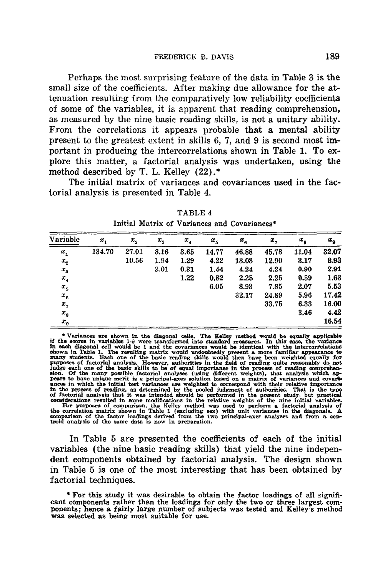Perhaps the most surprising feature of the data in Table 3 is the small size of the coefficients. After making due allowance for the attenuation resulting from the comparatively low reliability coefficients of some of the variables, it is apparent that reading comprehension, as measured by the nine basic reading skills, is not a unitary ability. From the correlations it appears probable that a mental ability present to the greatest extent in skills 6, 7, and 9 is second most important in producing the intercorrelations shown in Table 1. To explore this matter, a factorial analysis was undertaken, using the method described by T. L. Kelley (22).\*

The initial matrix of variances and covariances used in the factorial analysis is presented in Table 4.

| Variable          | $x_{1}$ | $x_{2}$ | $x_{3}$ | $x_{\scriptscriptstyle 4}$ | $x_{5}$ | $x_{\scriptscriptstyle 6}$ | $\pmb{x}_{\pmb{\tau}}$ | $\pmb{x}_\mathbf{\emph{s}}$ | $\boldsymbol{x}_{\mathbf{0}}$ |
|-------------------|---------|---------|---------|----------------------------|---------|----------------------------|------------------------|-----------------------------|-------------------------------|
| $x_{1}$           | 134.70  | 27.01   | 8.16    | 3.65                       | 14.77   | 46.88                      | 45.78                  | 11.04                       | 32.07                         |
| $x_{2}$           |         | 10.56   | 1.94    | 1.29                       | 4.22    | 13.03                      | 12.90                  | 3.17                        | 8.93                          |
| $x_{\rm a}$       |         |         | 3.01    | 0.31                       | 1.44    | 4.24                       | 4.24                   | 0.90                        | 2.91                          |
| $x_{4}$           |         |         |         | 1.22                       | 0.82    | 2.25                       | 2.25                   | 0.59                        | 1.63                          |
| $x_{5}$           |         |         |         |                            | 6.05    | 8.93                       | 7.85                   | 2.07                        | 5.53                          |
| $x_{\varepsilon}$ |         |         |         |                            |         | 32.17                      | 24.89                  | 5.96                        | 17.42                         |
| $x_{7}$           |         |         |         |                            |         |                            | 33.75                  | 6.33                        | 16.00                         |
| $x_{\rm g}$       |         |         |         |                            |         |                            |                        | 3.46                        | 4.42                          |
| $x_{9}$           |         |         |         |                            |         |                            |                        |                             | 16.54                         |

TABLE 4 Initial Matrix of Variances and Covariances\*

<sup>4</sup> Variances are shown in the diagonal edle. The Kelley method would be equally applicable access in variables 1-9 were transformed into standard messares. In this case, the variance in each diagonal cell would be 1 and t

In Table 5 are presented the coefficients of each of the initial variables (the nine basic reading skills) that yield the nine independent components obtained by factorial analysis. The design shown in Table 5 is one of the most interesting that has been obtained by factorial techniques.

\* For this study it was desirable to obtain the factor loadings of all significant components rather than the loadings for only the two or three largest components; hence a fairly large number of subjects was tested and Kelley's method was selected as being most suitable for use.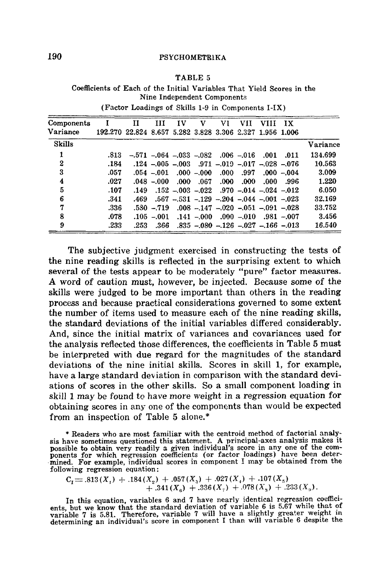### TABLE 5

Coefficients of Each of the Initial Variables That Yield Scores in the Nine Independent Components (Factor Loadings of Skills 1-9 in Components I-IX)

| Components    | Т                                                        | п | ш             | IV                                                            | v             | VI                  | VII      | VIII.                                     | $\mathbf{I} \mathbf{X}$ |          |
|---------------|----------------------------------------------------------|---|---------------|---------------------------------------------------------------|---------------|---------------------|----------|-------------------------------------------|-------------------------|----------|
| Variance      | 192.270 22.824 8.657 5.282 3.828 3.306 2.327 1.956 1.006 |   |               |                                                               |               |                     |          |                                           |                         |          |
| <b>Skills</b> |                                                          |   |               |                                                               |               |                     |          |                                           |                         | Variance |
|               | .813                                                     |   |               | $-.571$ $-.064$ $-.033$ $-.082$ $.006$ $-.016$ $.001$         |               |                     |          |                                           | .011                    | 134.699  |
| 2             | .184                                                     |   |               | $.124 - .005 - .003 - .971 - .019 - .017 - .028 - .076$       |               |                     |          |                                           |                         | 10.563   |
| 3             | .057                                                     |   | $.054 - .001$ |                                                               | $.000 - .000$ |                     | .000.997 |                                           | $.000 - .004$           | 3.009    |
| 4             | .027                                                     |   | $.048 - .000$ |                                                               |               | .000 .067 .000 .000 |          |                                           | - 996                   | 1.220    |
| 5             | .107                                                     |   |               | $.149$ $.152$ $-.003$ $-.022$ $.970$ $-.014$ $-.024$ $-.012$  |               |                     |          |                                           |                         | 6.050    |
| 6             | .341                                                     |   |               | $.469$ $.567$ $-.531$ $-.129$ $-.204$ $-.044$ $-.001$ $-.023$ |               |                     |          |                                           |                         | 32.169   |
| 7             | .336                                                     |   | $.580 - 719$  |                                                               |               |                     |          | $.008 - 147 - 020 - 051 - 091 - 028$      |                         | 33.752   |
| 8             | .078                                                     |   |               | $.105 - .001$ $.141 - .000$ $.000 - .010$ $.981 - .007$       |               |                     |          |                                           |                         | 3.456    |
| 9             | .233                                                     |   | $.253$ $.366$ |                                                               |               |                     |          | $.835 - .080 - .126 - .027 - .166 - .013$ |                         | 16.540   |

The subjective judgment exercised in constructing the tests of the nine reading skills is reflected in the surprising extent to which several of the tests appear to be moderately "pure" factor measures. A word of caution must, however, be injected. Because some of the skills were judged to be more important than others in the reading process and because practical considerations governed to some extent the number of items used to measure each of the nine reading skills, the standard deviations of the initial variables differed considerably. And, since the initial matrix of variances and covariances used for the analysis reflected those differences, the coefficients in Table 5 must be interpreted with due regard for the magnitudes of the standard deviations of the nine initial skills. Scores in skill 1, for example, have a large standard deviation in comparison with the standard deviations of scores in the other skills. So a small component loading in skill 1 may be found to have more weight in a regression equation for obtaining scores in any one of the components than would be expected from an inspection of Table 5 alone.\*

\* Readers who are most familiar with the centroid method of factorial analysis have sometimes questioned this statement. A principal-axes analysis makes it possible to obtain very readily a given individual's score in any one of the com-ponents for which regression coefficients (or factor loadings) have been determined. For example, individual scores in component I may be obtained from the following regression equation:

 $C_{\text{r}} = .813(X_{\text{r}}) + .184(X_{\text{r}}) + .057(X_{\text{r}}) + .027(X_{\text{r}}) + .107(X_{\text{r}})$  $+$  .341  $(X_6)$  + .336  $(X_7)$  + .078  $(X_8)$  + .233  $(X_9)$ .

In this equation, variables 6 and 7 have nearly identical regression coefficients, but we know that the standard deviation of variable 6 is 5.67 while that of variable 7 is 5.81. Therefore, variable 7 will have a slightly greater weight in determining an individual's score in component I than wilt variable 6 despite the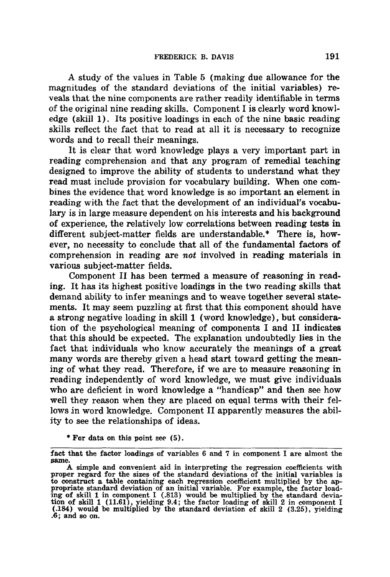A study of the values in Table 5 (making due allowance for the magnitudes of the standard deviations of the initial variables) reveals that the nine components are rather readily identifiable in terms of the original nine reading skills. Component I is clearly word knowledge (skill 1). Its positive loadings in each of the nine basic reading skills reflect the fact that to read at all it is necessary to recognize words and to recall their meanings.

It is clear that word knowledge plays a very important part in reading comprehension and that any program of remedial teaching designed to improve the ability of students to understand what they read must include provision for vocabulary building. When one combines the evidence that word knowledge is so important an element in reading with the fact that the development of an individual's vocabulary is in large measure dependent on his interests and his background of experience, the relatively low correlations between reading tests in different subject-matter fields are understandable.\* There is, however, no necessity to conclude that all of the fundamental factors of comprehension in reading are *not* involved in reading materials in various subject-matter fields.

Component II has been termed a measure of reasoning in reading. It has its highest positive loadings in the two reading skills that demand ability to infer meanings and to weave together several statements. It may seem puzzling at first that this component should have a strong negative loading in skill 1 (word knowledge), but consideration of the psychological meaning of components I and II indicates that this should be expected. The explanation undoubtedly lies in the fact that individuals who know accurately the meanings of a great many words are thereby given a head start toward getting the meaning of what they read. Therefore, if we are to measure reasoning in reading independently of word knowledge, we must give individuals who are deficient in word knowledge a "handicap" and then see how well they reason when they are placed on equal terms with their fellows in word knowledge. Component II apparently measures the ability to see the relationships of ideas.

**\* For data on this point see (5).** 

fact that the factor loadings of variables 6 and 7 in component I are almost the same.

A simple and convenient aid in interpreting the regression coefficients with proper regard for the sizes of the standard deviations of the initial variables is to construct a table containing each regression coefficient multiplied by the appropriate standard deviation of an initial variable. For example, the factor loading of skill 1 in component I (.813) would be multiplied by t tion of skill 1 (11.61), yielding 9.4; the factor loading of skill 2 in component I (.184) would be multiplied by the standard deviation of skill 2 (3.25), yielding .6; and so on.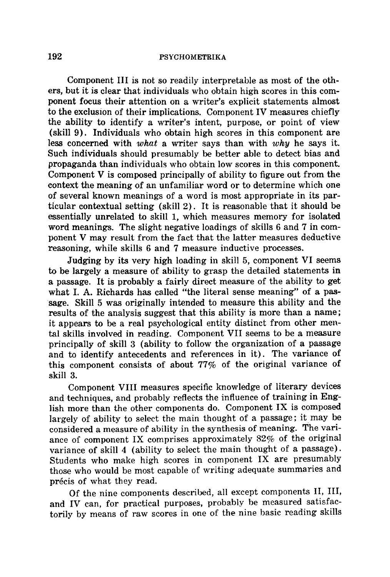Component III is not so readily interpretable as most of the others, but it is clear that individuals who obtain high scores in this component focus their attention on a writer's explicit statements almost to the exclusion of their implications. Component IV measures chiefly the ability to identify a writer's intent, purpose, or point of view (skill 9). Individuals who obtain high scores in this component are less concerned with *what* a writer says than with *why* he says it. Such individuals should presumably be better able to detect bias and propaganda than individuals who obtain low scores in this component. Component  $V$  is composed principally of ability to figure out from the context the meaning of an unfamiliar word or to determine which one of several known meanings of a word is most appropriate in its particular contextual setting (skill 2). It is reasonable that it should be essentially unrelated to skill 1, which measures memory for isolated word meanings. The slight negative loadings of skills 6 and 7 in component V may result from the fact that the latter measures deductive reasoning, while skills 6 and 7 measure inductive processes.

Judging by its very high loading in skill 5, component VI seems to be largely a measure of ability to grasp the detailed statements in a passage. It is probably a fairly direct measure of the ability to get what I. A. Richards has called "the literal sense meaning" of a passage. Skill 5 was originally intended to measure this ability and the results of the analysis suggest that this ability is more than a name; it appears to be a real psychological entity distinct from other mental skills involved in reading. Component VII seems to be a measure principally of skill 3 (ability to follow the organization of a passage and to identify antecedents and references in it). The variance of this component consists of about 77% of the original variance of skill 3.

Component VIII measures specific knowledge of literary devices and techniques, and probably reflects the influence of training in English more than the other components do. Component IX is composed largely of ability to select the main thought of a passage; it may be considered a measure of ability in the synthesis of meaning. The variance of component IX comprises approximately 82% of the original variance of skill 4 (ability to select the main thought of a passage). Students who make high scores in component IX are presumably those who would be most capable of writing adequate summaries and précis of what they read.

Of the nine components described, all except components II, III, and IV can, for practical purposes, probably be measured satisfactorily by means of raw scores in one of the nine basic reading skills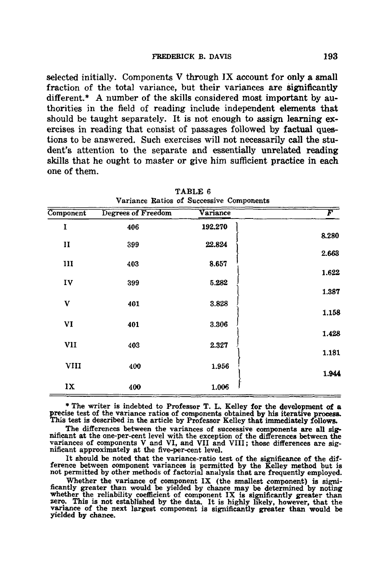selected initially. Components V through IX account for only a small fraction of the total variance, but their variances are significantly different.\* A number of the skills considered most important by authorities in the field of reading include independent elements that should be taught separately. It is not enough to assign learning exercises in reading that consist of passages followed by factual questions to be answered. Such exercises will not necessarily call the student's attention to the separate and essentially unrelated reading skills that he ought to master or give him sufficient practice in each one of them.

|              |                           | Variance Ratios of Successive Components |                |
|--------------|---------------------------|------------------------------------------|----------------|
| Component    | <b>Degrees of Freedom</b> | Variance                                 | $\overline{F}$ |
| I            | 406                       | 192.270                                  |                |
|              |                           |                                          | 8.280          |
| $\mathbf{I}$ | 399                       | 22.824                                   | 2.663          |
| Ш            | 403                       | 8.657                                    |                |
|              |                           |                                          | 1.622          |
| IV           | 399                       | 5.282                                    | 1.387          |
| V            | 401                       | 3.828                                    |                |
|              |                           |                                          | 1.158          |
| VI           | 401                       | 3.306                                    |                |
|              |                           |                                          | 1.428          |
| <b>VII</b>   | 403                       | 2.327                                    | 1.181          |
| <b>VIII</b>  |                           |                                          |                |
|              | 400                       | 1.956                                    | 1.944          |
| IX           | 400                       | 1.006                                    |                |

TABLE 6

\* The writer is indebted to Professor T. L. Kelley for the development of a precise test of the variance ratios of components obtained by his iterative process.<br>This test is described in the article by Professor Kelley that immediately follows.

The differences between the variances of successive components are all significant at the one-per-cent level with the exception of the differences between the variances of components V and VI, and VII and VIII; those differences are significant approximately at the five-per-cent level.

It should be noted that the variance-ratio test of the significance of the dif-<br>ference between component variances is permitted by the Kelley method but is<br>not permitted by other methods of factorial analysis that are fre

Whether the variance of component IX (the smallest component) is significantly greater than would be yielded by chance may be determined by noting whether the reliability coefficient of component IX is significantly greate zero. This is not established by the data. It is highly likely, however, that the variance of the next largest component is significantly greater than would be yielded by chance.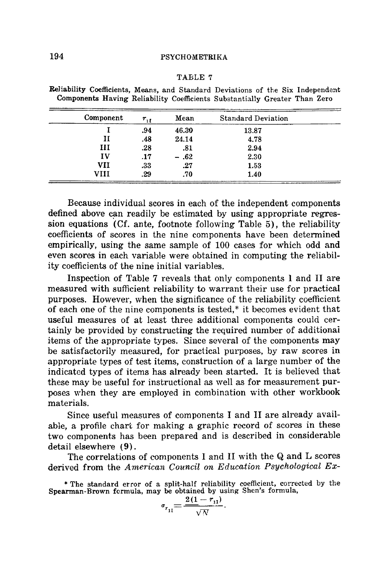#### TABLE 7

| Component     | $r_{1l}$ | Mean   | <b>Standard Deviation</b> |
|---------------|----------|--------|---------------------------|
|               | .94      | 46.30  | 13.87                     |
| н             | .48      | 24.14  | 4.78                      |
| ш             | .28      | .81    | 2.94                      |
| $\mathbf{IV}$ | .17      | $-.62$ | 2.30                      |
| VII           | .33      | .27    | 1.53                      |
| VIII          | .29      | .70    | 1.40                      |

Reliability Coefficients, Means, and Standard Deviations of the Six Independent Components Having Reliability Coefficients Substantially Greater Than Zero

Because individual scores in each of the independent components defined above can readily be estimated by using appropriate regression equations (Cf. ante, footnote following Table 5), the reliability coefficients of scores in the nine components have been determined empirically, using the same sample of 100 cases for which odd and even scores in each variable were obtained in computing the reliability coefficients of the nine initial variables.

Inspection of Table 7 reveals that only components 1 and II are measured with sufficient reliability to warrant their use for practical purposes. However, when the significance of the reliability coefficient of each one of the nine components is tested,\* it becomes evident that useful measures of at least three additional components could certainly be provided by constructing the required number of additional items of the appropriate types. Since several of the components may be satisfactorily measured, for practical purposes, by raw scores in appropriate types of test items, construction of a large number of the indicated types of items has already been started. It is believed that these may be useful for instructional as well as for measurement purposes when they are employed in combination with other workbook materials.

Since useful measures of components I and II are already available, a profile chart for making a graphic record of scores in these two components has been prepared and is described in considerable detail elsewhere (9).

The correlations of components I and II with the Q and L scores derived from the *American Council on Education Psychological Ex-* 

\* The standard error of a split-half reliability coefficient, corrected by the Spearman-Brown formula, may be obtained by using Shen's formula,

$$
\sigma_{r_{11}} = \frac{2(1 - r_{11})}{\sqrt{N}}.
$$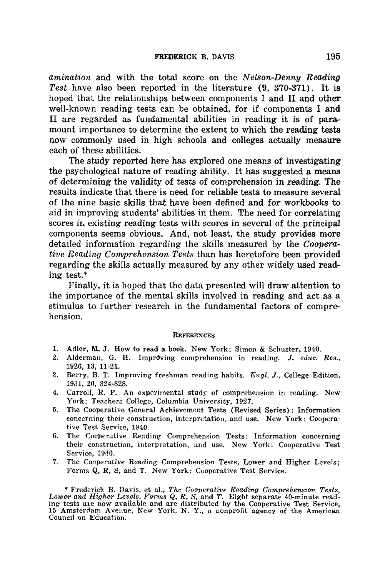*~mination* and with the total score on the *Nelson-Denny Reading Test* have also been reported in the literature (9, 370-371). It is hoped that the relationships between components I and II and other well-known reading tests can be obtained, for if components I and II are regarded as fundamental abilities in reading it is of paramount importance to determine the extent to which the reading tests now commonly used in high schools and colleges actually measure each of these abilities.

The study reported here has explored one means of investigating the psychological nature of reading ability. It has suggested a means of determining the validity of tests of comprehension in reading. The results indicate that there is need for reliable tests to measure several of the nine basic skills that have been defined and for workbooks to aid in improving students' abilities in them. The need for correlating scores in existing reading tests with scores in several of the principal components seems obvious. And, not least, the study provides more detailed information regarding the skills measured by the *Cooperative Reading Comprehension Tests* than has heretofore been provided regarding the skills actually measured by any other widely used reading test.\*

Finally, it is hoped that the data presented will draw attention to the importance of the mental skills involved in reading and act as a stimulus to further research in the fundamental factors of comprehension.

#### **REFERENCES**

- 1. Adler, M. J. How to read a book. New York: Simon & Schuster, 1940.
- 2. Alderman, G. H. Improving comprehension in reading. J. educ. Res., 1926, 13, 11-21.
- 3. Berry, B. T. Improving freshman reading habits. *Engl. J.*, College Edition, 1931, 20, 324-828.
- 4. Carroll, R, P. An experimental study of comprehension in reading. New York: Teachers College, Columbia University, 1927.
- 5. The Cooperative General Achievcment Tests (Revised Series): Information concerning their construction, interpretation, and use. New York: Cooperative Test Service, 1940.
- 6. The Cooperative Reading Comprehension Tests: Information concerning their construction, interpretation, and use. New York: Cooperative Test Service, 1940.
- 7. The Cooperative Reading Comprehension Tests, Lower and Higher Levels; Forms Q, R, S, and T. New York: Cooperative Test Service.

\* Frederick B. Davis, et al., *The Cooperative Reading Comprehension Tests*, *Lower and Higher Levels, Forms Q, R, S,* and T. Eight separate 40-minute reading tests are now available and are distributed by the Cooperative Test Service, 15 Amsterdam Avenue, New York, N. Y., a nonprofit agency of the American Council on Education.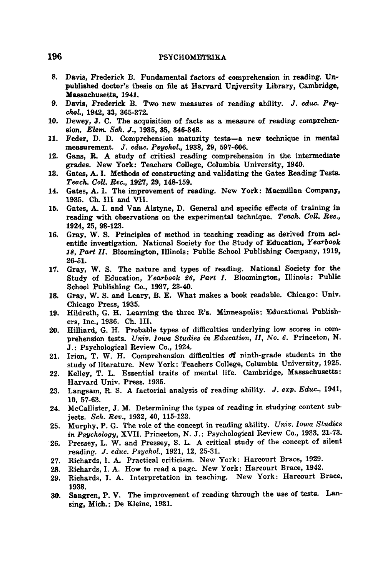- 8. Davis, Frederick B. Fundamental factors of comprehension in reading. Unpublished doctor's thesis on file at Harvard University Library, Cambridge, Massachusetts, 1941.
- 9. Davis, Frederick B. Two new measures of reading ability. *J. educ. PsychoL,* 1942, 33, 365-372.
- lO. Dewey, J. C. The acquisition of facts as a measure of reading comprehension. *Elem. Sch.* J., 1935, 35, 346-348.
- **11.** Feder, D. D. Comprehension maturity tests--a new technique in mental measurement. *J. educ. Psychol.*, 1938, 29, 597-606.
- 12. Gans, R. A study of critical reading comprehension in the intermediate grades. New York: Teachers College, Columbia University, 1940.
- **13.** Gates, A. I. Methods of constructing and validating the Gates Reading Tests. *Teach. Coll. Reo.,* 1927, 29, 148-159.
- 14. Gates, A. I. The improvement of reading. New York: Macmillan Company, 1935. Ch. III and VII.
- 15. Gates, A. I. and Van Alstyne, D. General and specific effects of training in reading with observations on the experimental technique. *Teach. Coll. Rec.,*  1924, 25, 98-123.
- 16. Gray, W. S. Principles of method in teaching reading as derived from scientific investigation. National Society for the Study of Education, *Yearbook*  18, Part II. Bloomington, Illinois: Public School Publishing Company, 1919, 26-51.
- 17. Gray, W. S. The nature and types of reading. National Society for the Study of Education, Yearbook 26, Part I. Bloomington, Illinois: Public School Publishing Co., 1937, 23-40.
- 18. Gray, W. S. and Leary, B. E. What makes a book readable. Chicago: Univ. Chicago Press, 1935.
- 19. Hildreth, G. H. Learning the three R's. Minneapolis: Educational Publishers, Inc., 1936. Ch. III.
- 20. Hilliard, G. H. Probable types of difficulties underlying low scores in comprehension tests. *Univ. Iowa Studies in Education, II, No. 6.* Princeton, N. **J.:** Psychological Review Co., 1924.
- 21. Irion, T. W. H. Comprehension difficulties of ninth-grade students in the study of literature. New York: Teachers College, Columbia University, 1925.
- 22. Kelley, T. L. Essential traits of mental life. Cambridge, Massachusetts: Harvard Univ. Press. 1935.
- 23. Langsam, R. S. A factorial analysis of reading ability. *J. exp. Educ.*, 1941, 10, 57-63.
- 24. McCalllster, J. M. Determining the types of reading in studying content subjects. *Sch. Rev.,* 1932, 40, 115-123.
- 25. Murphy, P. G. The role of the concept in reading ability. *Un{v. Iowa Studies*  in Psychology, XVII. Princeton, N. J.: Psychological Review Co., 1933, 21-73.
- 26. Pressey, L. W. and Pressey, S. L. A critical study of the concept of silent reading. *J. educ. Psychol.,* 1921, 12, 25-31.
- 27. Richards, I. A. Practical criticism. New York: Harcourt Brace, 1929.
- 28. Richards, I. A. How to read a page. New York: Harcourt Brace, 1942.
- 29. Richards, I. A. Interpretation in teaching. New York: Harcourt Brace, 1938.
- 30. Sangren, P.V. The improvement of reading through the use of tests. Lansing, Mich.: De Kleine, 1931.